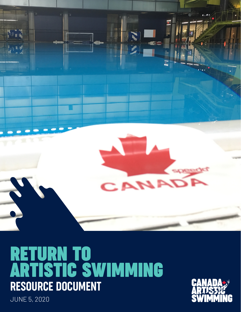

# **RETURN TO ARTISTIC SWIMMING** RESOURCE DOCUMENT



JUNE 5, 2020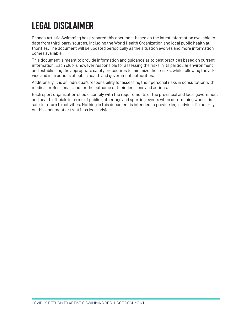# LEGAL DISCLAIMER

Canada Artistic Swimming has prepared this document based on the latest information available to date from third-party sources, including the World Health Organization and local public health authorities. The document will be updated periodically as the situation evolves and more information comes available.

This document is meant to provide information and guidance as to best practices based on current information. Each club is however responsible for assessing the risks in its particular environment and establishing the appropriate safety procedures to minimize those risks, while following the advice and instructions of public health and government authorities.

Additionally, it is an individual's responsibility for assessing their personal risks in consultation with medical professionals and for the outcome of their decisions and actions.

Each sport organization should comply with the requirements of the provincial and local government and health officials in terms of public gatherings and sporting events when determining when it is safe to return to activities. Nothing in this document is intended to provide legal advice. Do not rely on this document or treat it as legal advice.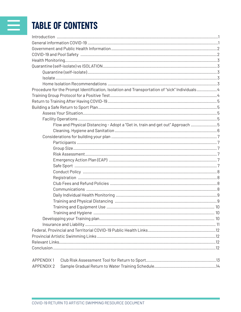# TABLE OF CONTENTS

| Procedure for the Prompt Identification, Isolation and Transportation of "sick" Individuals4 |  |
|----------------------------------------------------------------------------------------------|--|
|                                                                                              |  |
|                                                                                              |  |
|                                                                                              |  |
|                                                                                              |  |
|                                                                                              |  |
| Flow and Physical Distancing - Adopt a "Get in, train and get out" Approach 5                |  |
|                                                                                              |  |
|                                                                                              |  |
|                                                                                              |  |
|                                                                                              |  |
|                                                                                              |  |
|                                                                                              |  |
|                                                                                              |  |
|                                                                                              |  |
|                                                                                              |  |
|                                                                                              |  |
|                                                                                              |  |
|                                                                                              |  |
|                                                                                              |  |
|                                                                                              |  |
|                                                                                              |  |
|                                                                                              |  |
|                                                                                              |  |
|                                                                                              |  |
|                                                                                              |  |
|                                                                                              |  |
|                                                                                              |  |
| <b>APPENDIX1</b>                                                                             |  |
| <b>APPENDIX 2</b>                                                                            |  |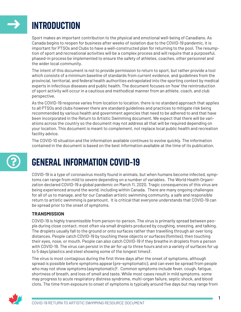<span id="page-3-0"></span>

 $\odot$ 

## INTRODUCTION

Sport makes an important contribution to the physical and emotional well-being of Canadians. As Canada begins to reopen for business after weeks of isolation due to the COVID-19 pandemic, it is important for PTSOs and Clubs to have a well-constructed plan for returning to the pool. The resumption of sport and recreational activities will be a complex process and will require that a purposeful, phased-in process be implemented to ensure the safety of athletes, coaches, other personnel and the wider local community.

The intent of this document is not to provide permission to return to sport, but rather provide a tool which consists of a minimum baseline of standards from current evidence, and guidelines from the provincial, territorial, and federal health authorities extrapolated into the sporting context by medical experts in infectious diseases and public health. The document focuses on 'how' the reintroduction of sport activity will occur in a cautious and methodical manner from an athlete, coach, and club perspective.

As the COVID-19 response varies from location to location, there is no standard approach that applies to all PTSOs and clubs however there are standard guidelines and practices to mitigate risk being recommended by various health and government agencies that need to be adhered to and that have been incorporated in the Return to Artistic Swimming document. We expect that there will be variations across the country so the document may not address all that will be required depending on your location. This document is meant to complement, not replace local public health and recreation facility advice.

The COVID-10 situation and the information available continues to evolve quickly. The information contained in the document is based on the best information available at the time of its publication.

# GENERAL INFORMATION COVID-19

COVID-19 is a type of coronavirus mostly found in animals, but when humans become infected, symptoms can range from mild to severe depending on a number of variables. The World Health Organization declared COVID-19 a global pandemic on March 11, 2020. Tragic consequences of this virus are being experienced around the world, including within Canada. There are many ongoing challenges for all of us to manage, and for our Canadian artistic swimming community, a safe and responsible return to artistic swimming is paramount. It is critical that everyone understands that COVID-19 can be spread prior to the onset of symptoms.

#### **TRANSMISSION**

COVID-19 is highly transmissible from person-to-person. The virus is primarily spread between people during close contact, most often via small droplets produced by coughing, sneezing, and talking. The droplets usually fall to the ground or onto surfaces rather than travelling through air over long distances. People catch COVID-19 by touching these objects or surfaces (fomites), then touching their eyes, nose, or mouth. People can also catch COVID-19 if they breathe in droplets from a person with COVID-19. The virus can persist in the air for up to three hours and on a variety of surfaces for up to 5 days (plastics and steel showing some of the longest times)<sup>1</sup>.

The virus is most contagious during the first three days after the onset of symptoms, although spread is possible before symptoms appear (pre-symptomatic), and can even be spread from people who may not show symptoms (asymptomatic)<sup>2</sup>. Common symptoms include fever, cough, fatigue, shortness of breath, and loss of smell and taste. While most cases result in mild symptoms, some may progress to acute respiratory distress syndrome, multi-organ failure, septic shock, and blood clots. The time from exposure to onset of symptoms is typically around five days but may range from

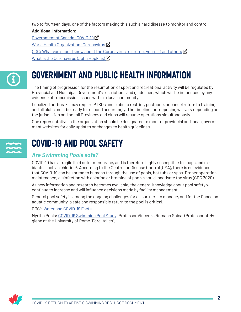<span id="page-4-0"></span>two to fourteen days, one of the factors making this such a hard disease to monitor and control.

#### **Additional Information:**

[Government of Canada: COVID-19](https://www.canada.ca/en/public-health/services/diseases/coronavirus-disease-covid-19.html) $\vec{R}$ [World Health Organization: Coronavirus](https://www.who.int/health-topics/coronavirus#tab=tab_1)  $\mathbf Z$ [CDC: What you should know about the Coronavirus to protect yourself and others](https://www.cdc.gov/coronavirus/2019-ncov/downloads/2019-ncov-factsheet.pdf)  $\boldsymbol{\mathcal{E}}$ What is the Coronavirus (John Hopkins)  $\vec{R}$ 

# **G**

## GOVERNMENT AND PUBLIC HEALTH INFORMATION

The timing of progression for the resumption of sport and recreational activity will be regulated by Provincial and Municipal Government's restrictions and guidelines, which will be influenced by any evidence of transmission issues within a local community.

Localized outbreaks may require PTSOs and clubs to restrict, postpone, or cancel return to training, and all clubs must be ready to respond accordingly. The timeline for reopening will vary depending on the jurisdiction and not all Provinces and clubs will resume operations simultaneously.

One representative in the organization should be designated to monitor provincial and local government websites for daily updates or changes to health guidelines.

# $\frac{1}{2}$

## COVID-19 AND POOL SAFETY

### *Are Swimming Pools safe?*

COVID-19 has a fragile lipid outer membrane, and is therefore highly susceptible to soaps and oxidants, such as chlorine<sup>3</sup>. According to the Centre for Disease Control (USA), there is no evidence that COVID-19 can be spread to humans through the use of pools, hot tubs or spas. Proper operation maintenance, disinfection with chlorine or bromine of pools should inactivate the virus (CDC 2020)

As new information and research becomes available, the general knowledge about pool safety will continue to increase and will influence decisions made by facility management.

General pool safety is among the ongoing challenges for all partners to manage, and for the Canadian aquatic community, a safe and responsible return to the pool is critical.

#### CD[C4](#page-18-0) : [Water and COVID-19 Facts](https://www.cdc.gov/coronavirus/2019-ncov/faq.html?CDC_AA_refVal=https%3A%2F%2Fwww.cdc.gov%2Fcoronavirus%2F2019-ncov%2Fphp%2Fwater.html#COVID-19-and-Water)

Myrtha Pools: [COVID-19 Swimming Pool Study;](https://www.myrthapools.com/en/magazine/covid-19-swimming-pool-study/) Professor Vincenzo Romano Spica, (Professor of Hygiene at the University of Rome "Foro Italico")

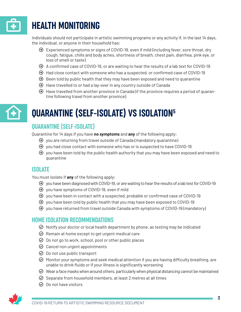<span id="page-5-0"></span>

# **HEALTH MONITORING**

Individuals should not participate in artistic swimming programs or any activity if, in the last 14 days, the individual, or anyone in their household has:

- $\Theta$  Experienced symptoms or signs of COVID-19, even if mild (including fever, sore throat, dry cough, fatigue, chills and body aches, shortness of breath, chest pain, diarrhea, pink eye, or loss of smell or taste)
- ɳ A confirmed case of COVID-19, or are waiting to hear the results of a lab text for COVID-19
- $\Theta$  Had close contact with someone who has a suspected, or confirmed case of COVID-19
- $\Theta$  Been told by public health that they may have been exposed and need to quarantine
- $\Theta$  Have travelled to or had a lay-over in any country outside of Canada
- $\Theta$  Have travelled from another province in Canada (if the province requires a period of quarantine following travel from another province)



# QUARANTINE (SELF-ISOLATE) VS ISOLATION[5](#page-18-0)

## QUARANTINE (SELF-ISOLATE)

Quarantine for 14 days if you have **no symptoms** and **any** of the following apply:

- $\Theta$  you are returning from travel outside of Canada (mandatory quarantine)
- $\Theta$  you had close contact with someone who has or is suspected to have COVID-19
- $\Theta$  you have been told by the public health authority that you may have been exposed and need to quarantine

### ISOLATE

You must isolate if **any** of the following apply:

- $\Theta$  you have been diagnosed with COVID-19, or are waiting to hear the results of a lab test for COVID-19
- ɳ you have symptoms of COVID-19, even if mild
- $\Theta$  you have been in contact with a suspected, probable or confirmed case of COVID-19
- $\Theta$  you have been told by public health that you may have been exposed to COVID-19
- $\Theta$  you have returned from travel outside Canada with symptoms of COVID-19 (mandatory)

### HOME ISOLATION RECOMMENDATIONS

- $\odot$  Notify your doctor or local health department by phone, as testing may be indicated
- $\odot$  Remain at home except to get urgent medical care
- $\odot$  Do not go to work, school, pool or other public places
- $\odot$  Cancel non urgent appointments
- $\odot$  Do not use public transport
- $\odot$  Monitor your symptoms and seek medical attention if you are having difficulty breathing, are unable to drink fluids or if your illness is significantly worsening
- $\odot$  Wear a face masks when around others, particularly when physical distancing cannot be maintained
- $\odot$  Separate from household members, at least 2 metres at all times
- $\odot$  Do not have visitors

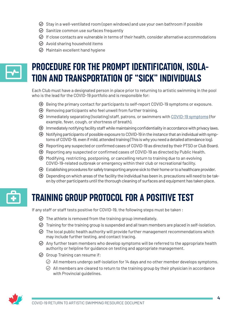- <span id="page-6-0"></span> $\odot$  Stay in a well-ventilated room (open windows) and use your own bathroom if possible
- $\odot$  Sanitize common use surfaces frequently
- $\odot$  If close contacts are vulnerable in terms of their health, consider alternative accommodations
- $\odot$  Avoid sharing household items
- $\odot$  Maintain excellent hand hygiene

# $\blacktriangleright$

## PROCEDURE FOR THE PROMPT IDENTIFICATION, ISOLA-TION AND TRANSPORTATION OF "SICK" INDIVIDUALS

Each Club must have a designated person in place prior to returning to artistic swimming in the pool who is the lead for the COVID-19 portfolio and is responsible for:

- $\Theta$  Being the primary contact for participants to self-report COVID-19 symptoms or exposure.
- $\Theta$  Removing participants who feel unwell from further training.
- ɳ Immediately separating (Isolating) staff, patrons, or swimmers with [COVID-19 symptoms](https://www.cdc.gov/coronavirus/2019-ncov/symptoms-testing/symptoms.html) (for example, fever, cough, or shortness of breath).
- $\Theta$  Immediately notifying facility staff while maintaining confidentiality in accordance with privacy laws.
- ɳ Notifying participants of possible exposure to COVID-19 in the instance that an individual with symptoms of COVID-19, even if mild, attended training (This is why you need a detailed attendance log).
- ɳ Reporting any suspected or confirmed cases of COVID-19 as directed by their PTSO or Club Board.
- ɳ Reporting any suspected or confirmed cases of COVID-19 as directed by Public Health.
- $\Theta$  Modifying, restricting, postponing, or cancelling return to training due to an evolving COVID-19-related outbreak or emergency within their club or recreational facility.
- $\Theta$  Establishing procedures for safely transporting anyone sick to their home or to a healthcare provider.
- $\Theta$  Depending on which areas of the facility the individual has been in, precautions will need to be taken by other participants until the thorough cleaning of surfaces and equipment has taken place.

# $\mathbf{G}$

## TRAINING GROUP PROTOCOL FOR A POSITIVE TEST

If any staff or staff tests positive for COVID-19, the following steps must be taken :

- $\odot$  The athlete is removed from the training group immediately.
- $\odot$  Training for the training group is suspended and all team members are placed in self-isolation.
- $\odot$  The local public health authority will provide further management recommendations which may include further testing, and contact tracing.
- $\odot$  Any further team members who develop symptoms will be referred to the appropriate health authority or helpline for guidance on testing and appropriate management.
- $\odot$  Group Training can resume if:
	- $\odot$  All members undergo self-isolation for 14 days and no other member develops symptoms.
	- $\oslash$  All members are cleared to return to the training group by their physician in accordance with Provincial guidelines.

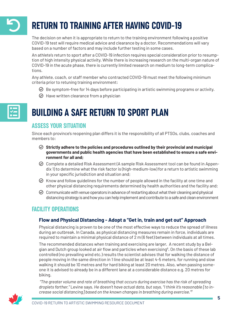# <span id="page-7-0"></span>RETURN TO TRAINING AFTER HAVING COVID-19

The decision on when it is appropriate to return to the training environment following a positive COVID-19 test will require medical advice and clearance by a doctor. Recommendations will vary based on a number of factors and may include further testing in some cases.

An athlete's return to sport after a COVID-19 infection requires special consideration prior to resumption of high intensity physical activity. While there is increasing research on the multi-organ nature of COVID-19 in the acute phase, there is currently limited research on medium to long-term complications.

Any athlete, coach, or staff member who contracted COVID-19 must meet the following minimum criteria prior to retuning training environment:

- $\odot$  Be symptom-free for 14 days before participating in artistic swimming programs or activity.
- $\odot$  Have written clearance from a physician

# E

## BUILDING A SAFE RETURN TO SPORT PLAN

## ASSESS YOUR SITUATION

Since each province's reopening plan differs it is the responsibility of all PTSOs, clubs, coaches and members to:

- **Strictly adhere to the policies and procedures outlined by their provincial and municipal governments and public health agencies that have been established to ensure a safe environment for all and;**
- Complete a detailed Risk Assessment (A sample Risk Assessment tool can be found in Appendix 1) to determine what the risk factor is (high-medium-low) for a return to artistic swimming in your specific jurisdiction and situation and;
- $\odot$  Know and follow quidelines for the number of people allowed in the facility at one time and other physical distancing requirements determined by health authorities and the facility and;
- $\odot$  Communicate with venue operators in advance of restarting about what their cleaning and physical distancing strategy is and how you can help implement and contribute to a safe and clean environment

## FACILITY OPERATIONS

#### **Flow and Physical Distancing - Adopt a "Get in, train and get out" Approach**

Physical distancing is proven to be one of the most effective ways to reduce the spread of illness during an outbreak. In Canada, as physical distancing measures remain in force, individuals are required to maintain a minimal physical distance of 2 m (6 feet) between individuals at all times.

The recommended distances when training and exercising are larger. A recent study by a Bel-gian and Dutch group looked at air flow and particles when exercising<sup>[6](#page-18-0)</sup>. On the basis of these lab controlled (no prevailing wind etc.) results the scientist advises that for walking the distance of people moving in the same direction in 1 line should be at least 4-5 meters, for running and slow walking it should be 10 metres and for hard biking at least 20 metres. Also, when passing someone it is advised to already be in a different lane at a considerable distance e.g. 20 metres for biking.

 *"The greater volume and rate of breathing that occurs during exercise has the risk of spreading droplets farther,"* Levine says*. He doesn't have actual data, but says, "I think it's reasonable [to increase social distancing] based on the known changes in breathing during exercise."[7](#page-18-0)*

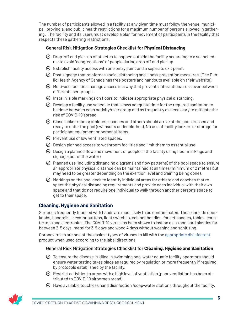<span id="page-8-0"></span>The number of participants allowed in a facility at any given time must follow the venue, municipal, provincial and public health restrictions for a maximum number of persons allowed in gathering. The facility and its users must develop a plan for movement of participants in the facility that respects these gathering restrictions.

#### **General Risk Mitigation Strategies Checklist for Physical Distancing**

- $\odot$  Drop-off and pick-up of athletes to happen outside the facility according to a set schedule to avoid "congregations" of people during drop off and pick up.
- $\odot$  Establish facility access with one entry point and a separate exit point.
- $\odot$  Post signage that reinforces social distancing and illness prevention measures. (The Public Health Agency of Canada has free posters and handouts available on their website).
- $\odot$  Multi-use facilities manage access in a way that prevents interaction/cross over between different user groups.
- $\odot$  Install visible markings on floors to indicate appropriate physical distancing.
- $\odot$  Develop a facility use schedule that allows adequate time for the required sanitation to be done between each activity/user group and as frequently as necessary to mitigate the risk of COVID-19 spread.
- $\odot$  Close locker rooms; athletes, coaches and others should arrive at the pool dressed and ready to enter the pool (swimsuits under clothes). No use of facility lockers or storage for participant equipment or personal items.
- $\odot$  Prevent use of low ventilated spaces.
- $\odot$  Design planned access to washroom facilities and limit them to essential use.
- $\odot$  Design a planned flow and movement of people in the facility using floor markings and signage (out of the water).
- $\odot$  Planned use (including distancing diagrams and flow patterns) of the pool space to ensure an appropriate physical distance can be maintained at all times (minimum of 2 metres but may need to be greater depending on the exertion level and training being done).
- $\Theta$  Markings on the pool deck to identify individual areas for athlete and coaches that respect the physical distancing requirements and provide each individual with their own space and that do not require one individual to walk through another person's space to get to their space.

#### **Cleaning, Hygiene and Sanitation**

Surfaces frequently touched with hands are most likely to be contaminated. These include doorknobs, handrails, elevator buttons, light switches, cabinet handles, faucet handles, tables, countertops and electronics. The COVID-19 virus has been shown to last on glass and hard plastics for between 2-5 days, metal for 3-5 days and wood 4 days without washing and sanitizing.

Coronaviruses are one of the easiest types of viruses to kill with the [appropriate disinfectant](https://www.canada.ca/en/public-health/services/publications/diseases-conditions/cleaning-disinfecting-public-spaces.html) product when used according to the label directions.

#### **General Risk Mitigation Strategies Checklist for Cleaning, Hygiene and Sanitation**

- $\odot$  To ensure the disease is killed in swimming pool water aquatic facility operators should ensure water testing takes place as required by regulation or more frequently if required by protocols established by the facility.
- $\odot$  Restrict activities to areas with a high level of ventilation (poor ventilation has been attributed to COVID-19 airborne spread).
- $\odot$  Have available touchless hand disinfection /soap-water stations throughout the facility.

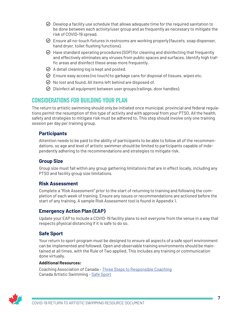- <span id="page-9-0"></span> $\odot$  Develop a facility use schedule that allows adequate time for the required sanitation to be done between each activity/user group and as frequently as necessary to mitigate the risk of COVID-19 spread.
- $\odot$  Ensure all no-touch fixtures in restrooms are working properly (faucets, soap dispenser, hand dryer, toilet flushing functions).
- $\odot$  Have standard operating procedures (SOP) for cleaning and disinfecting that frequently and effectively eliminates any viruses from public spaces and surfaces. Identify high traffic areas and disinfect these areas more frequently.
- $\odot$  A detail cleaning log is kept and posted.
- $\odot$  Ensure easy access (no touch) to garbage cans for disposal of tissues, wipes etc.
- $\oslash$  No lost and found. All items left behind are disposed of.
- $\odot$  Disinfect all equipment between user groups (railings, door handles).

### CONSIDERATIONS FOR BUILDING YOUR PLAN

The return to artistic swimming should only be initiated once municipal, provincial and federal regulations permit the resumption of this type of activity and with approval from your PTSO. All the health, safety and strategies to mitigate risk must be adhered to. This step should involve only one training session per day per training group.

#### **Participants**

Attention needs to be paid to the ability of participants to be able to follow all of the recommendations, so age and level of artistic swimmer should be limited to participants capable of independently adhering to the recommendations and strategies to mitigate risk.

#### **Group Size**

Group size must fall within any group gathering limitations that are in effect locally, including any PTSO and facility group size limitations.

#### **Risk Assessment**

Complete a "Risk Assessment" prior to the start of returning to training and following the completion of each week of training. Ensure any issues or recommendations are actioned before the start of any training. A sample Risk Assessment tool is found in Appendix 1.

#### **Emergency Action Plan (EAP)**

Update your EAP to include a COVID-19 facility plans to exit everyone from the venue in a way that respects physical distancing if it is safe to do so.

#### **Safe Sport**

Your return to sport program must be designed to ensure all aspects of a safe sport environment can be implemented and followed. Open and observable training environments should be maintained at all times, with the Rule of Two applied. This includes any training or communication done virtually.

#### **Additional Resources:**

Coaching Association of Canada - [Three Steps to Responsible Coaching](https://coach.ca/three-steps-responsible-coaching) Canada Artistic Swimming - [Safe Sport](https://artisticswimming.ca/safe-sport/)

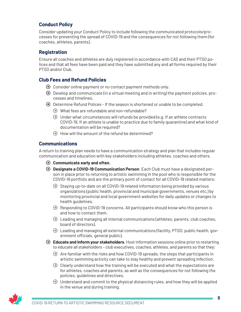#### <span id="page-10-0"></span>**Conduct Policy**

Consider updating your Conduct Policy to include following the communicated protocols/processes for preventing the spread of COVID-19 and the consequences for not following them (for coaches, athletes, parents).

#### **Registration**

Ensure all coaches and athletes are duly registered in accordance with CAS and their PTSO polices and that all fees have been paid and they have submitted any and all forms required by their PTSO and/or Club.

#### **Club Fees and Refund Policies**

- $\Theta$  Consider online payment or no contact payment methods only.
- $\Theta$  Develop and communicate (in a virtual meeting and in writing) the payment policies, processes and timelines.
- $\Theta$  Determine Refund Polices If the season is shortened or unable to be completed.
	- $\odot$  What fees are refundable and non-refundable?
	- $\odot$  Under what circumstances will refunds be provided (e.g. If an athlete contracts COVID-19, If an athlete is unable to practice due to family quarantine) and what kind of documentation will be required?
	- $\Theta$  How will the amount of the refund be determined?

#### **Communications**

A return to training plan needs to have a communication strategy and plan that includes regular communication and education with key stakeholders including athletes, coaches and others.

- ɳ **Communicate early and often**.
- ɳ **Designate a COVID-19 Communication Person**: Each Club must have a designated person in place prior to returning to artistic swimming in the pool who is responsible for the COVID-19 portfolio and are the primary point of contact for all COVID-19 related matters:
	- $\odot$  Staying up-to-date on all COVID-19 related information being provided by various organizations (public health, provincial and municipal governments, venues etc.) by monitoring provincial and local government websites for daily updates or changes to health guidelines.
	- $\Theta$  Responding to COVID-19 concerns. All participants should know who this person is and how to contact them.
	- $\Theta$  Leading and managing all internal communications (athletes, parents, club coaches, board of directors).
	- $\Theta$  Leading and managing all external communications (facility, PTSO, public health, government officials, general public).
- ɳ **Educate and Inform your stakeholders**. Host information sessions online prior to restarting to educate all stakeholders - club executives, coaches, athletes, and parents so that they:
	- $\Theta$  Are familiar with the risks and how COVID-19 spreads, the steps that participants in artistic swimming activity can take to stay healthy and prevent spreading infection.
	- $\Theta$  Clearly understand how the training will be executed and what the expectations are for athletes, coaches and parents, as well as the consequences for not following the policies, guidelines and directives.
	- $\Theta$  Understand and commit to the physical distancing rules, and how they will be applied in the venue and during training.

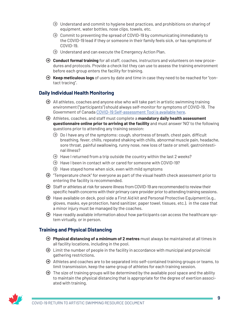- <span id="page-11-0"></span> $\Theta$  Understand and commit to hygiene best practices, and prohibitions on sharing of equipment, water bottles, nose clips, towels, etc.
- $\Theta$  Commit to preventing the spread of COVID-19 by communicating immediately to the COVID-19 lead if they or someone in their family feels sick, or has symptoms of COVID-19.
- $\Theta$  Understand and can execute the Emergency Action Plan.
- ɳ **Conduct formal training** for all staff, coaches, instructors and volunteers on new procedures and protocols. Provide a check list they can use to assess the training environment before each group enters the facility for training.
- ɳ **Keep meticulous logs** of users by date and time in case they need to be reached for "contact tracing".

#### **Daily Individual Health Monitoring**

- $\Theta$  All athletes, coaches and anyone else who will take part in artistic swimming training environment ("participants") should always self-monitor for symptoms of COVID-19. The Government of Canada [COVID-19 Self-assessment Tool is available here](https://ca.thrive.health/covid19/en).
- ɳ Athletes, coaches, and staff must complete a **mandatory daily health assessment questionnaire online prior to arriving at the facility** and must answer 'NO' to the following questions prior to attending any training session:
	- $\Theta$  Do I have any of the symptoms: cough, shortness of breath, chest pain, difficult breathing, fever, chills, repeated shaking with chills, abnormal muscle pain, headache, sore throat, painful swallowing, runny nose, new loss of taste or smell, gastrointestinal illness?
	- $\Theta$  Have I returned from a trip outside the country within the last 2 weeks?
	- $\Theta$  Have I been in contact with or cared for someone with COVID-19?
	- $\Theta$  Have stayed home when sick, even with mild symptoms
- $\Theta$  "Temperature check" for everyone as part of the visual health check assessment prior to entering the facility is recommended.
- ɳ Staff or athletes at risk for severe illness from COVID-19 are recommended to review their specific health concerns with their primary care provider prior to attending training sessions.
- $\Theta$  Have available on deck, pool side a First Aid kit and Personal Protective Equipment (e.g., gloves, masks, eye protection, hand sanitizer, paper towel, tissues, etc.). in the case that a minor injury must be managed by the coaches.
- $\Theta$  Have readily available information about how participants can access the healthcare system virtually, or in person.

#### **Training and Physical Distancing**

- ɳ **Physical distancing of a minimum of 2 metres** must always be maintained at all times in all facility locations, including in the pool.
- $\Theta$  Limit the number of people in the facility in accordance with municipal and provincial gathering restrictions.
- $\Theta$  Athletes and coaches are to be separated into self-contained training groups or teams, to limit transmission, keep the same group of athletes for each training session.
- $\Theta$  The size of training groups will be determined by the available pool space and the ability to maintain the physical distancing that is appropriate for the degree of exertion associated with training.

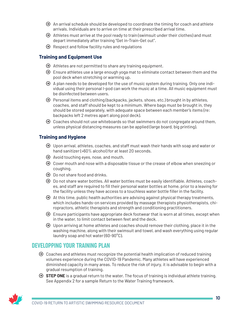- <span id="page-12-0"></span> $\Theta$  An arrival schedule should be developed to coordinate the timing for coach and athlete arrivals. Individuals are to arrive on time at their prescribed arrival time.
- $\Theta$  Athletes must arrive at the pool ready to train (swimsuit under their clothes) and must depart immediately after training "Get in-Train-Get out".
- $\Theta$  Respect and follow facility rules and regulations

#### **Training and Equipment Use**

- $\Theta$  Athletes are not permitted to share any training equipment.
- $\Theta$  Ensure athletes use a large enough yoga mat to eliminate contact between them and the pool deck when stretching or warming up.
- $\Theta$  A plan needs to be developed for the use of music system during training. Only one individual using their personal I-pod can work the music at a time. All music equipment must be disinfected between users.
- $\Theta$  Personal items and clothing (backpacks, jackets, shoes, etc.) brought in by athletes, coaches, and staff should be kept to a minimum. Where bags must be brought in, they should be stored separately, with adequate space between each member's items (re: backpacks left 2 metres apart along pool deck).
- $\Theta$  Coaches should not use whiteboards so that swimmers do not congregate around them, unless physical distancing measures can be applied (large board, big printing).

#### **Training and Hygiene**

- $\Theta$  Upon arrival, athletes, coaches, and staff must wash their hands with soap and water or hand sanitizer (>60% alcohol) for at least 20 seconds.
- $\Theta$  Avoid touching eyes, nose, and mouth.
- $\Theta$  Cover mouth and nose with a disposable tissue or the crease of elbow when sneezing or coughing.
- $\Theta$  Do not share food and drinks.
- $\Theta$  Do not share water bottles. All water bottles must be easily identifiable. Athletes, coaches, and staff are required to fill their personal water bottles at home, prior to a leaving for the facility unless they have access to a touchless water bottle filler in the facility.
- $\Theta$  At this time, public health authorities are advising against physical therapy treatments, which includes hands-on services provided by massage therapists physiotherapists, chiropractors, athletic therapists and strength and conditioning practitioners.
- $\Theta$  Ensure participants have appropriate deck footwear that is worn at all times, except when in the water, to limit contact between feet and the deck.
- $\Theta$  Upon arriving at home athletes and coaches should remove their clothing, place it in the washing machine, along with their swimsuit and towel, and wash everything using regular laundry soap and hot water (60-90°C).

### DEVELOPPING YOUR TRAINING PLAN

- $\Theta$  Coaches and athletes must recognize the potential health implication of reduced training volumes experience during the COVID-19 Pandemic. Many athletes will have experienced diminished capacity in many areas. To reduce the risk of injury, it is advisable to begin with a gradual resumption of training.
- ɳ **STEP ONE** is a gradual return to the water. The focus of training is individual athlete training. See Appendix 2 for a sample Return to the Water Training framework.

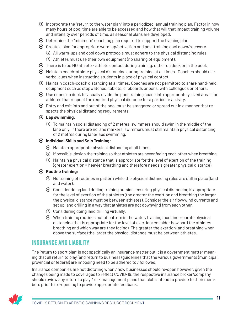- <span id="page-13-0"></span> $\Theta$  Incorporate the "return to the water plan" into a periodized, annual training plan. Factor in how many hours of pool time are able to be accessed and how that will that impact training volume and intensity over periods of time, as seasonal plans are developed.
- $\Theta$  Determine the "minimum" coaching plan required to support the training plan
- $\Theta$  Create a plan for appropriate warm up/activation and post training cool down/recovery.
	- $\Theta$  All warm-ups and cool down protocols must adhere to the physical distancing rules.
	- $\Theta$  Athletes must use their own equipment (no sharing of equipment).
- $\Theta$  There is to be NO athlete athlete contact during training, either on deck or in the pool.
- $\Theta$  Maintain coach-athlete physical distancing during training at all times. Coaches should use verbal cues when instructing students in place of physical contact.
- ɳ Maintain coach-coach distancing at all times. Coaches are not permitted to share hand-held equipment such as stopwatches, tablets, clipboards or pens, with colleagues or others.
- $\Theta$  Use cones on deck to visually divide the pool training space into appropriately sized areas for athletes that respect the required physical distance for a particular activity.
- $\Theta$  Entry and exit into and out of the pool must be staggered or spread out in a manner that respects the physical distancing requirements.

#### ɳ **Lap swimming**:

 $\Theta$  To maintain social distancing of 2 metres, swimmers should swim in the middle of the lane only. If there are no lane markers, swimmers must still maintain physical distancing of 2 metres during lane/laps swimming.

#### ɳ **Individual Skills and Solo Training**:

- $\Theta$  Maintain appropriate physical distancing at all times.
- $\odot$  If possible, design the training so that athletes are never facing each other when breathing.
- $\Theta$  Maintain a physical distance that is appropriate for the level of exertion of the training (greater exertion = heavier breathing and therefore needs a greater physical distance).

#### ɳ **Routine training**:

- $\Theta$  No training of routines in pattern while the physical distancing rules are still in place (land and water).
- $\Theta$  Consider doing land drilling training outside, ensuring physical distancing is appropriate for the level of exertion of the athletes (the greater the exertion and breathing the larger the physical distance must be between athletes). Consider the air flow/wind currents and set up land drilling in a way that athletes are not downwind from each other.
- $\odot$  Considering doing land drilling virtually.
- $\Theta$  When training routines out of pattern in the water, training must incorporate physical distancing that is appropriate for the level of exertion (consider how hard the athletes breathing and which way are they facing). The greater the exertion (and breathing when above the surface) the larger the physical distance must be between athletes.

### INSURANCE AND LIABILITY

The 'return to sport plan' is not specifically an insurance matter but it is a government matter meaning that all return to play (and return to business) guidelines that the various governments (municipal, provincial or federal) are imposing need to be adhered to / followed.

Insurance companies are not dictating when / how businesses should re-open however, given the changes being made to coverages to reflect COVID-19, the respective insurance broker/company should review any return to play / risk management plans that clubs intend to provide to their members prior to re-opening to provide appropriate feedback.

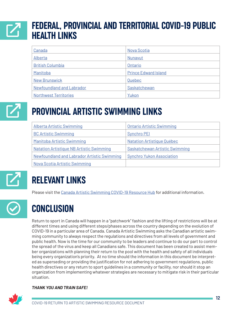## <span id="page-14-0"></span>FEDERAL, PROVINCIAL AND TERRITORIAL COVID-19 PUBLIC HEALTH LINKS  $\boldsymbol{\mathsf{Z}}$

| Canada                           | <b>Nova Scotia</b>          |
|----------------------------------|-----------------------------|
| Alberta                          | Nunavut                     |
| <b>British Columbia</b>          | Ontario                     |
| Manitoba                         | <b>Prince Edward Island</b> |
| <b>New Brunswick</b>             | Quebec                      |
| <b>Newfoundland and Labrador</b> | Saskatchewan                |
| <b>Northwest Territories</b>     | Yukon                       |



## PROVINCIAL ARTISTIC SWIMMING LINKS

| Alberta Artistic Swimming                          | <b>Ontario Artistic Swimming</b> |  |
|----------------------------------------------------|----------------------------------|--|
| <b>BC Artistic Swimming</b>                        | <b>Synchro PEI</b>               |  |
| Manitoba Artistic Swimming                         | Natation Artistique Québec       |  |
| <b>Natation Artistique NB Artistic Swimming</b>    | Saskatchewan Artistic Swimming   |  |
| <b>Newfoundland and Labrador Artistic Swimming</b> | <b>Synchro Yukon Association</b> |  |
| Nova Scotia Artistic Swimming                      |                                  |  |



# RELEVANT LINKS

Please visit the [Canada Artistic Swimming COVID-19 Resource Hub](https://artisticswimming.ca/covid-19-resources/) for additional information.



## **CONCLUSION**

Return to sport in Canada will happen in a "patchwork" fashion and the lifting of restrictions will be at different times and using different steps/phases across the country depending on the evolution of COVID-19 in a particular area of Canada. Canada Artistic Swimming asks the Canadian artistic swimming community to always respect the regulations and directives from all levels of government and public health. Now is the time for our community to be leaders and continue to do our part to control the spread of the virus and keep all Canadians safe. This document has been created to assist member organizations with planning their return to the pool with the health and safety of all individuals being every organization's priority. At no time should the information in this document be interpreted as superseding or providing the justification for not adhering to government regulations, public health directives or any return to sport guidelines in a community or facility, nor should it stop an organization from implementing whatever strategies are necessary to mitigate risk in their particular situation.

#### *THANK YOU AND TRAIN SAFE!*

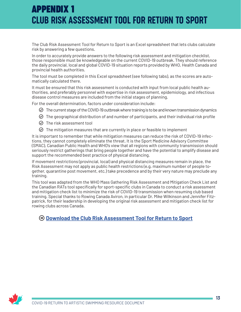## **APPENDIX 1** CLUB RISK ASSESSMENT TOOL FOR RETURN TO SPORT

The Club Risk Assessment Tool for Return to Sport is an Excel spreadsheet that lets clubs calculate risk by answering a few questions.

In order to accurately provide answers to the following risk assessment and mitigation checklist, those responsible must be knowledgeable on the current COVID-19 outbreak. They should reference the daily provincial, local and global COVID-19 situation reports provided by WHO, Health Canada and provincial health authorities.

The tool must be completed in this Excel spreadsheet (see following tabs), as the scores are automatically calculated there.

It must be ensured that this risk assessment is conducted with input from local public health authorities, and preferably personnel with expertise in risk assessment, epidemiology, and infectious disease control measures are included from the initial stages of planning.

For the overall determination, factors under consideration include:

- $\odot$  The current stage of the COVID-19 outbreak where training is to be and known transmission dynamics
- $\odot$  The geographical distribution of and number of participants, and their individual risk profile
- The risk assessment tool
- $\odot$  The mitigation measures that are currently in place or feasible to implement

It is important to remember that while mitigation measures can reduce the risk of COVID-19 infections, they cannot completely eliminate the threat. It is the Sport Medicine Advisory Committee (SMAC), Canadian Public Health and WHO's view that all regions with community transmission should seriously restrict gatherings that bring people together and have the potential to amplify disease and support the recommended best practice of physical distancing.

If movement restrictions (provincial, local) and physical distancing measures remain in place, the Risk Assessment may not apply as public health restrictions (e.g. maximum number of people together, quarantine post movement, etc.) take precedence and by their very nature may preclude any training.

This tool was adapted from the WHO Mass Gathering Risk Assessment and Mitigation Check List and the Canadian RATs tool specifically for sport-specific clubs in Canada to conduct a risk assessment and mitigation check list to minimize the risk of COVID-19 transmission when resuming club based training. Special thanks to Rowing Canada Aviron, in particular Dr. Mike Wilkinson and Jennifer Fitzpatrick, for their leadership in developing the original risk assessment and mitigation check list for rowing clubs across Canada.

### ɳ **[Download the Club Risk Assessment Tool for Return to Sport](https://artisticswimming.ca/covid/Appendix1-OTP-Club-Risk-Assessment-and-Mitigation-Checklist-Tool-EN.xlsx)**

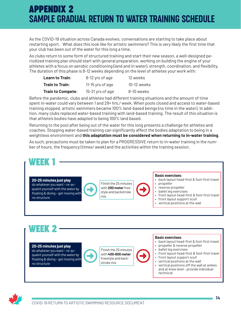## **APPENDIX 2** SAMPLE GRADUAL RETURN TO WATER TRAINING SCHEDULE

As the COVID-19 situation across Canada evolves, conversations are starting to take place about restarting sport. What does this look like for artistic swimmers? This is very likely the first time that your club has been out of the water for this long a time.

As clubs return to some form of structured training and start their new season, a well-designed periodized training plan should start with general preparation, working on building the engine of your athletes with a focus on aerobic conditioning (land and in water), strength, coordination, and flexibility. The duration of this phase is 8-12 weeks depending on the level of athletes your work with:

| Learn to Train:          | 8-12 yrs of age    | 12 weeks    |
|--------------------------|--------------------|-------------|
| <b>Train to Train:</b>   | $11-15$ yrs of age | 10-12 weeks |
| <b>Train to Compete:</b> | 15-21 yrs of age   | 8-10 weeks  |

Before the pandemic, clubs and athletes had different training situations and the amount of time spent in-water could vary between 1 and 29+ hrs./ week. When pools closed and access to water-based training stopped, artistic swimmers became 100% land-based beings (no time in the water). In addition, many clubs replaced water-based training with land-based training. The result of this situation is that athlete's bodies have adapted to being 100% land based.

Returning to the pool after being out of the water for this long presents a challenge for athletes and coaches. Stopping water-based training can significantly affect the bodies adaptation to being in a weightless environment and **this adaptation must be considered when returning to in-water training**.

As such, precautions must be taken to plan for a PROGRESSIVE return to in-water training in the number of hours, the frequency (times/ week) and the activities within the training session.



#### **20-25 minutes just play**

do whatever you want – re-acquaint yourself with the water by floating & diving – get moving with no structure



Finish the 25 minutes with **400-600 meter** freestyle and backstroke mix

 $\bigoplus$ 

#### **Basic exercises**:

- back layout head-first & foot-first travel
- propeller & reverse propeller
- ballet leg exercises
- front layout head-first & foot-first travel
- front layout support scull
- vertical positions at the wall • vertical positions off the wall at ankles and at knee level - provide individual technical

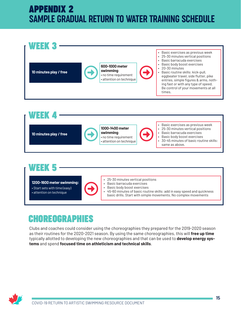## **APPENDIX 2** SAMPLE GRADUAL RETURN TO WATER TRAINING SCHEDULE





## **WEEK 5**

**1200-1600 meter swimming:** • Start sets with time (easy)

• attention on technique

- $\bigodot$
- 25-30 minutes vertical positions
	- Basic barracuda exercises
	- Basic body boost exercises
	- 45-60 minutes of basic routine skills: add in easy speed and quickness basic drills. Start with simple movements. No complex movements

## **CHOREOGRAPHIES**

Clubs and coaches could consider using the choreographies they prepared for the 2019-2020 season as their routines for the 2020-2021 season. By using the same choreographies, this will **free up time** typically allotted to developing the new choreographies and that can be used to **develop energy systems** and spend **focused time on athleticism and technical skills**.

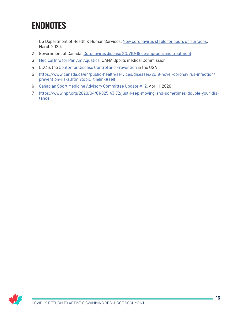## <span id="page-18-0"></span>**ENDNOTES**

- US Department of Health & Human Services. [New coronavirus stable for hours on surfaces.](https://www.nih.gov/news-events/news-releases/new-coronavirus-stable-hours-surfaces) March 2020.
- Government of Canada. [Coronavirus disease \(COVID-19\): Symptoms and treatment](https://www.canada.ca/en/public-health/services/diseases/2019-novel-coronavirus-infection/symptoms.html)
- [Medical Info for Pan Am Aquatics](https://www.teamunify.com/uana/UserFiles/Image/QuickUpload/covid-19-open-water-english-1-_069032.pdf), UANA Sports medical Commission
- CDC is the [Center for Disease Control and Prevention](https://www.cdc.gov) in the USA
- [https://www.canada.ca/en/public-health/services/diseases/2019-novel-coronavirus-infection/](https://www.canada.ca/en/public-health/services/diseases/2019-novel-coronavirus-infection/prevention-risks.html?topic=tilelink#self ) [prevention-risks.html?topic=tilelink#self](https://www.canada.ca/en/public-health/services/diseases/2019-novel-coronavirus-infection/prevention-risks.html?topic=tilelink#self )
- [Canadian Sport Medicine Advisory Committee Update # 12](https://myemail.constantcontact.com/Update--10--Advisory-on-COVID-19.html?soid=1108867463200&aid=uJ97lrgt52s), April 1, 2020
- [https://www.npr.org/2020/04/01/825143172/just-keep-moving-and-sometimes-double-your-dis](https://www.npr.org/2020/04/01/825143172/just-keep-moving-and-sometimes-double-your-distance)[tance](https://www.npr.org/2020/04/01/825143172/just-keep-moving-and-sometimes-double-your-distance)